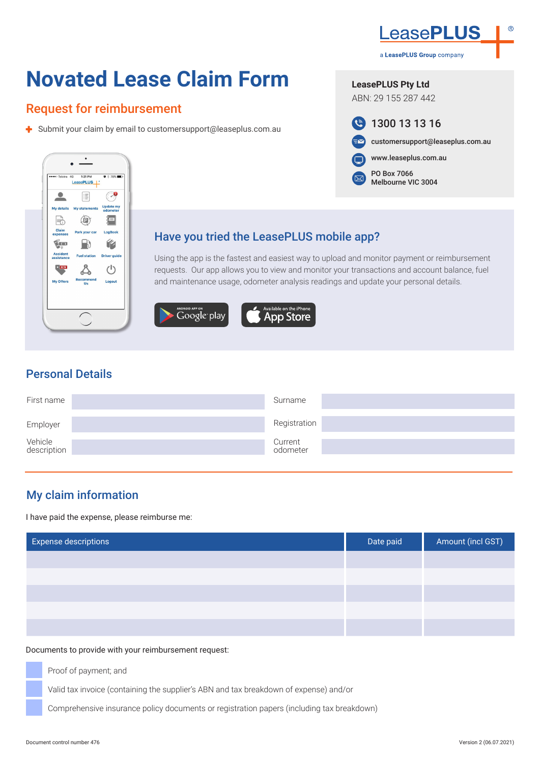

a LeasePLUS Group company

customersupport@leaseplus.com.au

**LeasePLUS Pty Ltd** ABN: 29 155 287 442

 $\mathbf{G}$ 

PO Box 7066 Melbourne VIC 3004

1300 13 13 16

www.leaseplus.com.au

# **Novated Lease Claim Form**

# Request for reimbursement

 $\blacktriangleright$  Submit your claim by email to customersupport@leaseplus.com.au



### Have you tried the LeasePLUS mobile app?

Using the app is the fastest and easiest way to upload and monitor payment or reimbursement requests. Our app allows you to view and monitor your transactions and account balance, fuel and maintenance usage, odometer analysis readings and update your personal details.





# Personal Details

| First name             | Surname             |  |
|------------------------|---------------------|--|
| Employer               | Registration        |  |
| Vehicle<br>description | Current<br>odometer |  |

# My claim information

I have paid the expense, please reimburse me:

| <b>Expense descriptions</b> | Date paid | Amount (incl GST) |
|-----------------------------|-----------|-------------------|
|                             |           |                   |
|                             |           |                   |
|                             |           |                   |
|                             |           |                   |
|                             |           |                   |

#### Documents to provide with your reimbursement request:

Proof of payment; and

Valid tax invoice (containing the supplier's ABN and tax breakdown of expense) and/or

Comprehensive insurance policy documents or registration papers (including tax breakdown)